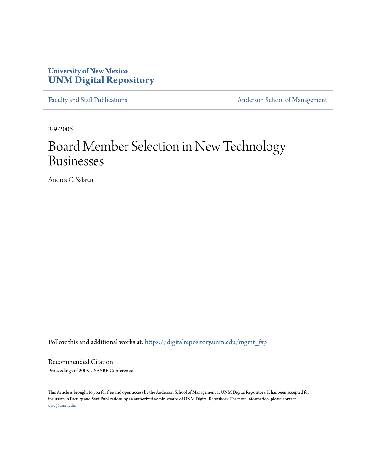# **University of New Mexico [UNM Digital Repository](https://digitalrepository.unm.edu?utm_source=digitalrepository.unm.edu%2Fmgmt_fsp%2F10&utm_medium=PDF&utm_campaign=PDFCoverPages)**

[Faculty and Staff Publications](https://digitalrepository.unm.edu/mgmt_fsp?utm_source=digitalrepository.unm.edu%2Fmgmt_fsp%2F10&utm_medium=PDF&utm_campaign=PDFCoverPages) **[Anderson School of Management](https://digitalrepository.unm.edu/mgmt?utm_source=digitalrepository.unm.edu%2Fmgmt_fsp%2F10&utm_medium=PDF&utm_campaign=PDFCoverPages)** 

3-9-2006

# Board Member Selection in New Technology Businesses

Andres C. Salazar

Follow this and additional works at: [https://digitalrepository.unm.edu/mgmt\\_fsp](https://digitalrepository.unm.edu/mgmt_fsp?utm_source=digitalrepository.unm.edu%2Fmgmt_fsp%2F10&utm_medium=PDF&utm_campaign=PDFCoverPages)

Recommended Citation Proceedings of 2005 USASBE Conference

This Article is brought to you for free and open access by the Anderson School of Management at UNM Digital Repository. It has been accepted for inclusion in Faculty and Staff Publications by an authorized administrator of UNM Digital Repository. For more information, please contact [disc@unm.edu](mailto:disc@unm.edu).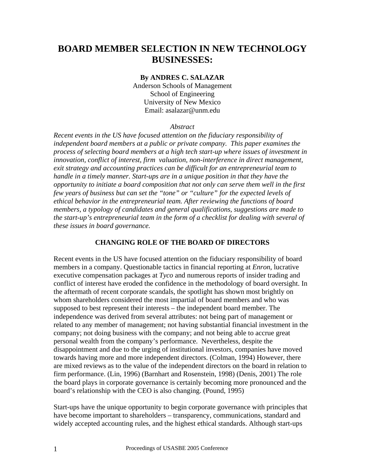# **BOARD MEMBER SELECTION IN NEW TECHNOLOGY BUSINESSES:**

#### **By ANDRES C. SALAZAR**

Anderson Schools of Management School of Engineering University of New Mexico Email: asalazar@unm.edu

#### *Abstract*

*Recent events in the US have focused attention on the fiduciary responsibility of independent board members at a public or private company. This paper examines the process of selecting board members at a high tech start-up where issues of investment in innovation, conflict of interest, firm valuation, non-interference in direct management, exit strategy and accounting practices can be difficult for an entrepreneurial team to handle in a timely manner. Start-ups are in a unique position in that they have the opportunity to initiate a board composition that not only can serve them well in the first few years of business but can set the "tone" or "culture" for the expected levels of ethical behavior in the entrepreneurial team. After reviewing the functions of board members, a typology of candidates and general qualifications, suggestions are made to the start-up's entrepreneurial team in the form of a checklist for dealing with several of these issues in board governance.* 

#### **CHANGING ROLE OF THE BOARD OF DIRECTORS**

Recent events in the US have focused attention on the fiduciary responsibility of board members in a company. Questionable tactics in financial reporting at *Enron*, lucrative executive compensation packages at *Tyco* and numerous reports of insider trading and conflict of interest have eroded the confidence in the methodology of board oversight. In the aftermath of recent corporate scandals, the spotlight has shown most brightly on whom shareholders considered the most impartial of board members and who was supposed to best represent their interests – the independent board member. The independence was derived from several attributes: not being part of management or related to any member of management; not having substantial financial investment in the company; not doing business with the company; and not being able to accrue great personal wealth from the company's performance. Nevertheless, despite the disappointment and due to the urging of institutional investors, companies have moved towards having more and more independent directors. (Colman, 1994) However, there are mixed reviews as to the value of the independent directors on the board in relation to firm performance. (Lin, 1996) (Barnhart and Rosenstein, 1998) (Denis, 2001) The role the board plays in corporate governance is certainly becoming more pronounced and the board's relationship with the CEO is also changing. (Pound, 1995)

Start-ups have the unique opportunity to begin corporate governance with principles that have become important to shareholders – transparency, communications, standard and widely accepted accounting rules, and the highest ethical standards. Although start-ups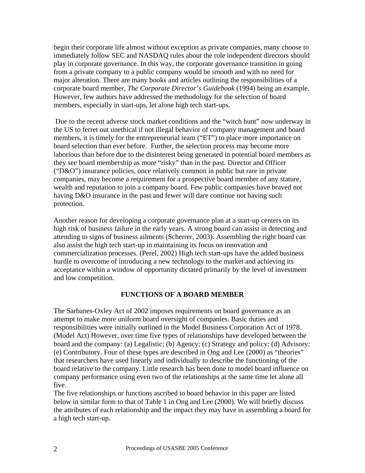begin their corporate life almost without exception as private companies, many choose to immediately follow SEC and NASDAQ rules about the role independent directors should play in corporate governance. In this way, the corporate governance transition in going from a private company to a public company would be smooth and with no need for major alteration. There are many books and articles outlining the responsibilities of a corporate board member, *The Corporate Director's Guidebook* (1994) being an example. However, few authors have addressed the methodology for the selection of board members, especially in start-ups, let alone high tech start-ups.

 Due to the recent adverse stock market conditions and the "witch hunt" now underway in the US to ferret out unethical if not illegal behavior of company management and board members, it is timely for the entrepreneurial team ("ET") to place more importance on board selection than ever before. Further, the selection process may become more laborious than before due to the disinterest being generated in potential board members as they see board membership as more "risky" than in the past. Director and Officer ("D&O") insurance policies, once relatively common in public but rare in private companies, may become a requirement for a prospective board member of any stature, wealth and reputation to join a company board. Few public companies have braved not having D&O insurance in the past and fewer will dare continue not having such protection.

Another reason for developing a corporate governance plan at a start-up centers on its high risk of business failure in the early years. A strong board can assist in detecting and attending to signs of business ailments (Scherrer, 2003). Assembling the right board can also assist the high tech start-up in maintaining its focus on innovation and commercialization processes. (Perel, 2002) High tech start-ups have the added business hurdle to overcome of introducing a new technology to the market and achieving its acceptance within a window of opportunity dictated primarily by the level of investment and low competition.

## **FUNCTIONS OF A BOARD MEMBER**

The Sarbanes-Oxley Act of 2002 imposes requirements on board governance as an attempt to make more uniform board oversight of companies. Basic duties and responsibilities were initially outlined in the Model Business Corporation Act of 1978. (Model Act) However, over time five types of relationships have developed between the board and the company: (a) Legalistic; (b) Agency; (c) Strategy and policy; (d) Advisory; (e) Contributory. Four of these types are described in Ong and Lee (2000) as "theories" that researchers have used linearly and individually to describe the functioning of the board relative to the company. Little research has been done to model board influence on company performance using even two of the relationships at the same time let alone all five.

The five relationships or functions ascribed to board behavior in this paper are listed below in similar form to that of Table 1 in Ong and Lee (2000). We will briefly discuss the attributes of each relationship and the impact they may have in assembling a board for a high tech start-up.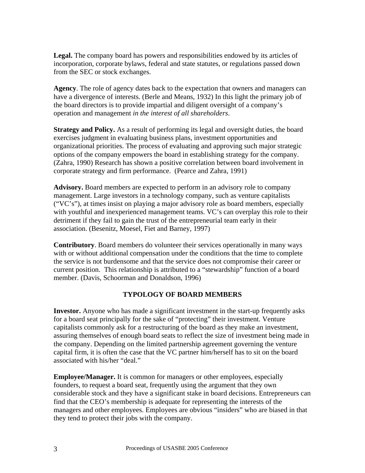**Legal.** The company board has powers and responsibilities endowed by its articles of incorporation, corporate bylaws, federal and state statutes, or regulations passed down from the SEC or stock exchanges.

**Agency**. The role of agency dates back to the expectation that owners and managers can have a divergence of interests. (Berle and Means, 1932) In this light the primary job of the board directors is to provide impartial and diligent oversight of a company's operation and management *in the interest of all shareholders*.

**Strategy and Policy.** As a result of performing its legal and oversight duties, the board exercises judgment in evaluating business plans, investment opportunities and organizational priorities. The process of evaluating and approving such major strategic options of the company empowers the board in establishing strategy for the company. (Zahra, 1990) Research has shown a positive correlation between board involvement in corporate strategy and firm performance. (Pearce and Zahra, 1991)

**Advisory.** Board members are expected to perform in an advisory role to company management. Large investors in a technology company, such as venture capitalists ("VC's"), at times insist on playing a major advisory role as board members, especially with youthful and inexperienced management teams. VC's can overplay this role to their detriment if they fail to gain the trust of the entrepreneurial team early in their association. (Besenitz, Moesel, Fiet and Barney, 1997)

**Contributory**. Board members do volunteer their services operationally in many ways with or without additional compensation under the conditions that the time to complete the service is not burdensome and that the service does not compromise their career or current position. This relationship is attributed to a "stewardship" function of a board member. (Davis, Schoorman and Donaldson, 1996)

## **TYPOLOGY OF BOARD MEMBERS**

**Investor.** Anyone who has made a significant investment in the start-up frequently asks for a board seat principally for the sake of "protecting" their investment. Venture capitalists commonly ask for a restructuring of the board as they make an investment, assuring themselves of enough board seats to reflect the size of investment being made in the company. Depending on the limited partnership agreement governing the venture capital firm, it is often the case that the VC partner him/herself has to sit on the board associated with his/her "deal."

**Employee/Manager.** It is common for managers or other employees, especially founders, to request a board seat, frequently using the argument that they own considerable stock and they have a significant stake in board decisions. Entrepreneurs can find that the CEO's membership is adequate for representing the interests of the managers and other employees. Employees are obvious "insiders" who are biased in that they tend to protect their jobs with the company.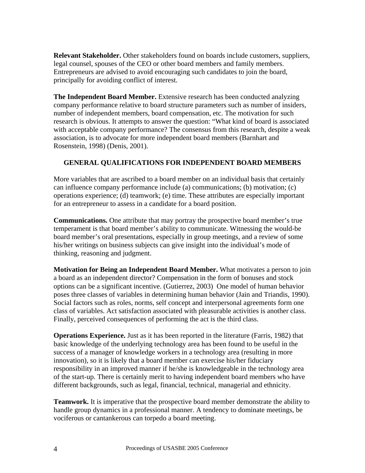**Relevant Stakeholder.** Other stakeholders found on boards include customers, suppliers, legal counsel, spouses of the CEO or other board members and family members. Entrepreneurs are advised to avoid encouraging such candidates to join the board, principally for avoiding conflict of interest.

**The Independent Board Member.** Extensive research has been conducted analyzing company performance relative to board structure parameters such as number of insiders, number of independent members, board compensation, etc. The motivation for such research is obvious. It attempts to answer the question: "What kind of board is associated with acceptable company performance? The consensus from this research, despite a weak association, is to advocate for more independent board members (Barnhart and Rosenstein, 1998) (Denis, 2001).

## **GENERAL QUALIFICATIONS FOR INDEPENDENT BOARD MEMBERS**

More variables that are ascribed to a board member on an individual basis that certainly can influence company performance include (a) communications; (b) motivation; (c) operations experience; (d) teamwork; (e) time. These attributes are especially important for an entrepreneur to assess in a candidate for a board position.

**Communications.** One attribute that may portray the prospective board member's true temperament is that board member's ability to communicate. Witnessing the would-be board member's oral presentations, especially in group meetings, and a review of some his/her writings on business subjects can give insight into the individual's mode of thinking, reasoning and judgment.

**Motivation for Being an Independent Board Member.** What motivates a person to join a board as an independent director? Compensation in the form of bonuses and stock options can be a significant incentive. (Gutierrez, 2003) One model of human behavior poses three classes of variables in determining human behavior (Jain and Triandis, 1990). Social factors such as roles, norms, self concept and interpersonal agreements form one class of variables. Act satisfaction associated with pleasurable activities is another class. Finally, perceived consequences of performing the act is the third class.

**Operations Experience.** Just as it has been reported in the literature (Farris, 1982) that basic knowledge of the underlying technology area has been found to be useful in the success of a manager of knowledge workers in a technology area (resulting in more innovation), so it is likely that a board member can exercise his/her fiduciary responsibility in an improved manner if he/she is knowledgeable in the technology area of the start-up. There is certainly merit to having independent board members who have different backgrounds, such as legal, financial, technical, managerial and ethnicity.

**Teamwork.** It is imperative that the prospective board member demonstrate the ability to handle group dynamics in a professional manner. A tendency to dominate meetings, be vociferous or cantankerous can torpedo a board meeting.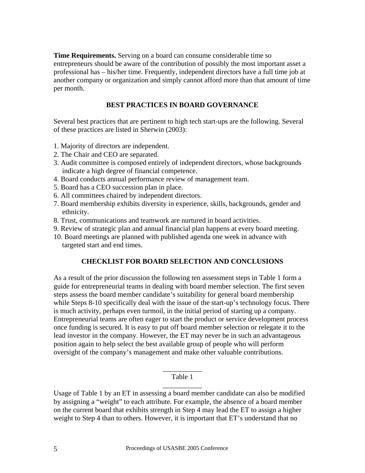**Time Requirements.** Serving on a board can consume considerable time so entrepreneurs should be aware of the contribution of possibly the most important asset a professional has – his/her time. Frequently, independent directors have a full time job at another company or organization and simply cannot afford more than that amount of time per month.

#### **BEST PRACTICES IN BOARD GOVERNANCE**

Several best practices that are pertinent to high tech start-ups are the following. Several of these practices are listed in Sherwin (2003):

- 1. Majority of directors are independent.
- 2. The Chair and CEO are separated.
- 3. Audit committee is composed entirely of independent directors, whose backgrounds indicate a high degree of financial competence.
- 4. Board conducts annual performance review of management team.
- 5. Board has a CEO succession plan in place.
- 6. All committees chaired by independent directors.
- 7. Board membership exhibits diversity in experience, skills, backgrounds, gender and ethnicity.
- 8. Trust, communications and teamwork are nurtured in board activities.
- 9. Review of strategic plan and annual financial plan happens at every board meeting.
- 10. Board meetings are planned with published agenda one week in advance with targeted start and end times.

#### **CHECKLIST FOR BOARD SELECTION AND CONCLUSIONS**

As a result of the prior discussion the following ten assessment steps in Table 1 form a guide for entrepreneurial teams in dealing with board member selection. The first seven steps assess the board member candidate's suitability for general board membership while Steps 8-10 specifically deal with the issue of the start-up's technology focus. There is much activity, perhaps even turmoil, in the initial period of starting up a company. Entrepreneurial teams are often eager to start the product or service development process once funding is secured. It is easy to put off board member selection or relegate it to the lead investor in the company. However, the ET may never be in such an advantageous position again to help select the best available group of people who will perform oversight of the company's management and make other valuable contributions.

#### \_\_\_\_\_\_\_\_\_\_\_ Table 1 \_\_\_\_\_\_\_\_\_\_\_

Usage of Table 1 by an ET in assessing a board member candidate can also be modified by assigning a "weight" to each attribute. For example, the absence of a board member on the current board that exhibits strength in Step 4 may lead the ET to assign a higher weight to Step 4 than to others. However, it is important that ET's understand that no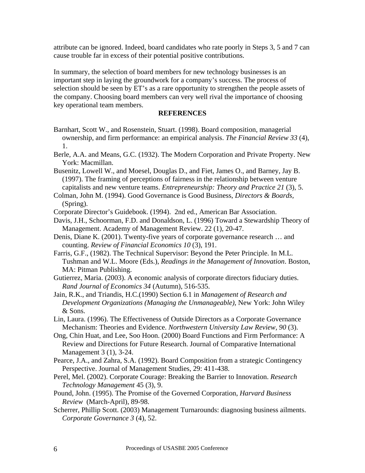attribute can be ignored. Indeed, board candidates who rate poorly in Steps 3, 5 and 7 can cause trouble far in excess of their potential positive contributions.

In summary, the selection of board members for new technology businesses is an important step in laying the groundwork for a company's success. The process of selection should be seen by ET's as a rare opportunity to strengthen the people assets of the company. Choosing board members can very well rival the importance of choosing key operational team members.

#### **REFERENCES**

- Barnhart, Scott W., and Rosenstein, Stuart. (1998). Board composition, managerial ownership, and firm performance: an empirical analysis. *The Financial Review 33* (4), 1.
- Berle, A.A. and Means, G.C. (1932). The Modern Corporation and Private Property. New York: Macmillan.
- Busenitz, Lowell W., and Moesel, Douglas D., and Fiet, James O., and Barney, Jay B. (1997). The framing of perceptions of fairness in the relationship between venture capitalists and new venture teams. *Entrepreneurship: Theory and Practice 21* (3), 5.
- Colman, John M. (1994). Good Governance is Good Business, *Directors & Boards,* (Spring).
- Corporate Director's Guidebook. (1994). 2nd ed., American Bar Association.
- Davis, J.H., Schoorman, F.D. and Donaldson, L. (1996) Toward a Stewardship Theory of Management. Academy of Management Review. 22 (1), 20-47.
- Denis, Diane K. (2001). Twenty-five years of corporate governance research … and counting. *Review of Financial Economics 10* (3), 191.
- Farris, G.F., (1982). The Technical Supervisor: Beyond the Peter Principle. In M.L. Tushman and W.L. Moore (Eds.), *Readings in the Management of Innovation*. Boston, MA: Pitman Publishing.
- Gutierrez, Maria. (2003). A economic analysis of corporate directors fiduciary duties. *Rand Journal of Economics 34* (Autumn), 516-535.
- Jain, R.K., and Triandis, H.C.(1990) Section 6.1 in *Management of Research and Development Organizations (Managing the Unmanageable)*, New York: John Wiley & Sons.
- Lin, Laura. (1996). The Effectiveness of Outside Directors as a Corporate Governance Mechanism: Theories and Evidence. *Northwestern University Law Review, 90* (3).
- Ong, Chin Huat, and Lee, Soo Hoon. (2000) Board Functions and Firm Performance: A Review and Directions for Future Research. Journal of Comparative International Management 3 (1), 3-24.
- Pearce, J.A., and Zahra, S.A. (1992). Board Composition from a strategic Contingency Perspective. Journal of Management Studies, 29: 411-438.
- Perel, Mel. (2002). Corporate Courage: Breaking the Barrier to Innovation. *Research Technology Management* 45 (3), 9.
- Pound, John. (1995). The Promise of the Governed Corporation, *Harvard Business Review* (March-April), 89-98.
- Scherrer, Phillip Scott. (2003) Management Turnarounds: diagnosing business ailments. *Corporate Governance 3* (4), 52.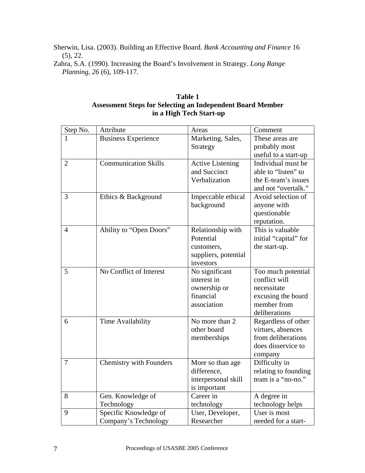Sherwin, Lisa. (2003). Building an Effective Board. *Bank Accounting and Finance* 16 (5), 22.

Zahra, S.A. (1990). Increasing the Board's Involvement in Strategy. *Long Range Planning, 26* (6), 109-117.

## **Table 1 Assessment Steps for Selecting an Independent Board Member in a High Tech Start-up**

| Step No.       | Attribute                   | Areas                   | Comment               |
|----------------|-----------------------------|-------------------------|-----------------------|
| 1              | <b>Business Experience</b>  | Marketing, Sales,       | These areas are       |
|                |                             | Strategy                | probably most         |
|                |                             |                         | useful to a start-up  |
| $\overline{2}$ | <b>Communication Skills</b> | <b>Active Listening</b> | Individual must be    |
|                |                             | and Succinct            | able to "listen" to   |
|                |                             | Verbalization           | the E-team's issues   |
|                |                             |                         | and not "overtalk."   |
| 3              | Ethics & Background         | Impeccable ethical      | Avoid selection of    |
|                |                             | background              | anyone with           |
|                |                             |                         | questionable          |
|                |                             |                         | reputation.           |
| 4              | Ability to "Open Doors"     | Relationship with       | This is valuable      |
|                |                             | Potential               | initial "capital" for |
|                |                             | customers,              | the start-up.         |
|                |                             | suppliers, potential    |                       |
|                |                             | investors               |                       |
| 5              | No Conflict of Interest     | No significant          | Too much potential    |
|                |                             | interest in             | conflict will         |
|                |                             | ownership or            | necessitate           |
|                |                             | financial               | excusing the board    |
|                |                             | association             | member from           |
|                |                             |                         | deliberations         |
| 6              | Time Availability           | No more than 2          | Regardless of other   |
|                |                             | other board             | virtues, absences     |
|                |                             | memberships             | from deliberations    |
|                |                             |                         | does disservice to    |
|                |                             |                         | company               |
| 7              | Chemistry with Founders     | More so than age        | Difficulty in         |
|                |                             | difference,             | relating to founding  |
|                |                             | interpersonal skill     | team is a "no-no."    |
|                |                             | is important            |                       |
| 8              | Gen. Knowledge of           | Career in               | A degree in           |
|                | Technology                  | technology              | technology helps      |
| 9              | Specific Knowledge of       | User, Developer,        | User is most          |
|                | Company's Technology        | Researcher              | needed for a start-   |